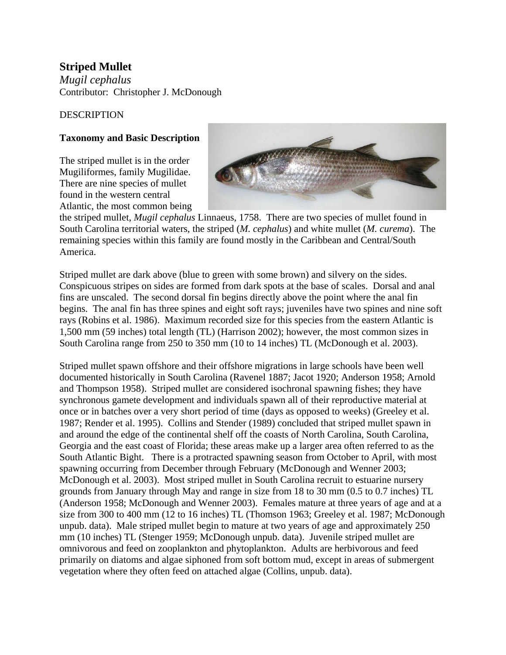# **Striped Mullet**

*Mugil cephalus* Contributor: Christopher J. McDonough

#### DESCRIPTION

## **Taxonomy and Basic Description**

The striped mullet is in the order Mugiliformes, family Mugilidae. There are nine species of mullet found in the western central Atlantic, the most common being



the striped mullet, *Mugil cephalus* Linnaeus, 1758. There are two species of mullet found in South Carolina territorial waters, the striped (*M. cephalus*) and white mullet (*M. curema*). The remaining species within this family are found mostly in the Caribbean and Central/South America.

Striped mullet are dark above (blue to green with some brown) and silvery on the sides. Conspicuous stripes on sides are formed from dark spots at the base of scales. Dorsal and anal fins are unscaled. The second dorsal fin begins directly above the point where the anal fin begins. The anal fin has three spines and eight soft rays; juveniles have two spines and nine soft rays (Robins et al. 1986). Maximum recorded size for this species from the eastern Atlantic is 1,500 mm (59 inches) total length (TL) (Harrison 2002); however, the most common sizes in South Carolina range from 250 to 350 mm (10 to 14 inches) TL (McDonough et al. 2003).

Striped mullet spawn offshore and their offshore migrations in large schools have been well documented historically in South Carolina (Ravenel 1887; Jacot 1920; Anderson 1958; Arnold and Thompson 1958). Striped mullet are considered isochronal spawning fishes; they have synchronous gamete development and individuals spawn all of their reproductive material at once or in batches over a very short period of time (days as opposed to weeks) (Greeley et al. 1987; Render et al. 1995). Collins and Stender (1989) concluded that striped mullet spawn in and around the edge of the continental shelf off the coasts of North Carolina, South Carolina, Georgia and the east coast of Florida; these areas make up a larger area often referred to as the South Atlantic Bight. There is a protracted spawning season from October to April, with most spawning occurring from December through February (McDonough and Wenner 2003; McDonough et al. 2003). Most striped mullet in South Carolina recruit to estuarine nursery grounds from January through May and range in size from 18 to 30 mm (0.5 to 0.7 inches) TL (Anderson 1958; McDonough and Wenner 2003). Females mature at three years of age and at a size from 300 to 400 mm (12 to 16 inches) TL (Thomson 1963; Greeley et al. 1987; McDonough unpub. data). Male striped mullet begin to mature at two years of age and approximately 250 mm (10 inches) TL (Stenger 1959; McDonough unpub. data). Juvenile striped mullet are omnivorous and feed on zooplankton and phytoplankton. Adults are herbivorous and feed primarily on diatoms and algae siphoned from soft bottom mud, except in areas of submergent vegetation where they often feed on attached algae (Collins, unpub. data).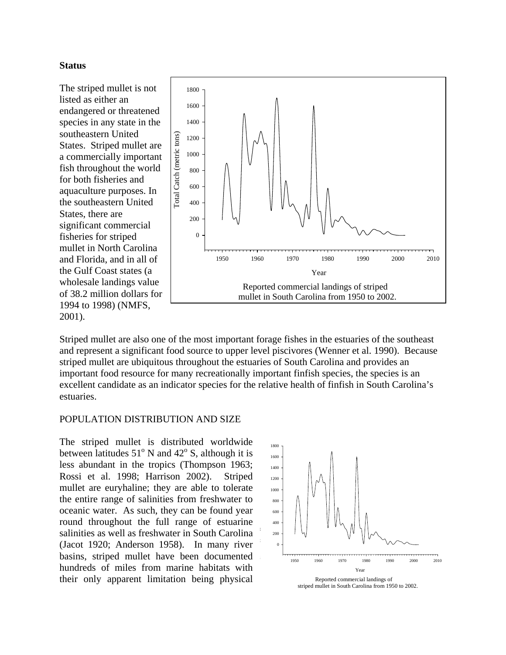#### **Status**

The striped mullet is not listed as either an endangered or threatened species in any state in the southeastern United States. Striped mullet are a commercially important fish throughout the world for both fisheries and aquaculture purposes. In the southeastern United States, there are significant commercial fisheries for striped mullet in North Carolina and Florida, and in all of the Gulf Coast states (a wholesale landings value of 38.2 million dollars for 1994 to 1998) (NMFS, 2001).



Striped mullet are also one of the most important forage fishes in the estuaries of the southeast and represent a significant food source to upper level piscivores (Wenner et al. 1990). Because striped mullet are ubiquitous throughout the estuaries of South Carolina and provides an important food resource for many recreationally important finfish species, the species is an excellent candidate as an indicator species for the relative health of finfish in South Carolina's estuaries.

#### POPULATION DISTRIBUTION AND SIZE

The striped mullet is distributed worldwide between latitudes  $51^{\circ}$  N and  $42^{\circ}$  S, although it is less abundant in the tropics (Thompson 1963; Rossi et al. 1998; Harrison 2002). Striped mullet are euryhaline; they are able to tolerate the entire range of salinities from freshwater to oceanic water. As such, they can be found year round throughout the full range of estuarine salinities as well as freshwater in South Carolina (Jacot 1920; Anderson 1958). In many river basins, striped mullet have been documented hundreds of miles from marine habitats with their only apparent limitation being physical

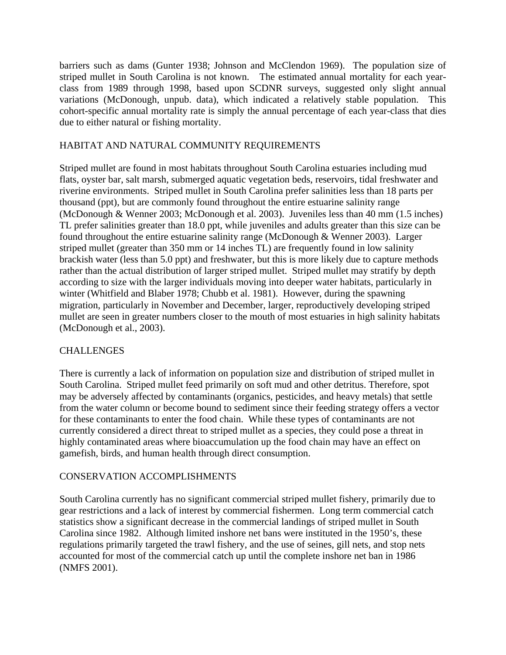barriers such as dams (Gunter 1938; Johnson and McClendon 1969). The population size of striped mullet in South Carolina is not known. The estimated annual mortality for each yearclass from 1989 through 1998, based upon SCDNR surveys, suggested only slight annual variations (McDonough, unpub. data), which indicated a relatively stable population. This cohort-specific annual mortality rate is simply the annual percentage of each year-class that dies due to either natural or fishing mortality.

## HABITAT AND NATURAL COMMUNITY REQUIREMENTS

Striped mullet are found in most habitats throughout South Carolina estuaries including mud flats, oyster bar, salt marsh, submerged aquatic vegetation beds, reservoirs, tidal freshwater and riverine environments. Striped mullet in South Carolina prefer salinities less than 18 parts per thousand (ppt), but are commonly found throughout the entire estuarine salinity range (McDonough & Wenner 2003; McDonough et al. 2003). Juveniles less than 40 mm (1.5 inches) TL prefer salinities greater than 18.0 ppt, while juveniles and adults greater than this size can be found throughout the entire estuarine salinity range (McDonough & Wenner 2003). Larger striped mullet (greater than 350 mm or 14 inches TL) are frequently found in low salinity brackish water (less than 5.0 ppt) and freshwater, but this is more likely due to capture methods rather than the actual distribution of larger striped mullet. Striped mullet may stratify by depth according to size with the larger individuals moving into deeper water habitats, particularly in winter (Whitfield and Blaber 1978; Chubb et al. 1981). However, during the spawning migration, particularly in November and December, larger, reproductively developing striped mullet are seen in greater numbers closer to the mouth of most estuaries in high salinity habitats (McDonough et al., 2003).

#### **CHALLENGES**

There is currently a lack of information on population size and distribution of striped mullet in South Carolina. Striped mullet feed primarily on soft mud and other detritus. Therefore, spot may be adversely affected by contaminants (organics, pesticides, and heavy metals) that settle from the water column or become bound to sediment since their feeding strategy offers a vector for these contaminants to enter the food chain. While these types of contaminants are not currently considered a direct threat to striped mullet as a species, they could pose a threat in highly contaminated areas where bioaccumulation up the food chain may have an effect on gamefish, birds, and human health through direct consumption.

#### CONSERVATION ACCOMPLISHMENTS

South Carolina currently has no significant commercial striped mullet fishery, primarily due to gear restrictions and a lack of interest by commercial fishermen. Long term commercial catch statistics show a significant decrease in the commercial landings of striped mullet in South Carolina since 1982. Although limited inshore net bans were instituted in the 1950's, these regulations primarily targeted the trawl fishery, and the use of seines, gill nets, and stop nets accounted for most of the commercial catch up until the complete inshore net ban in 1986 (NMFS 2001).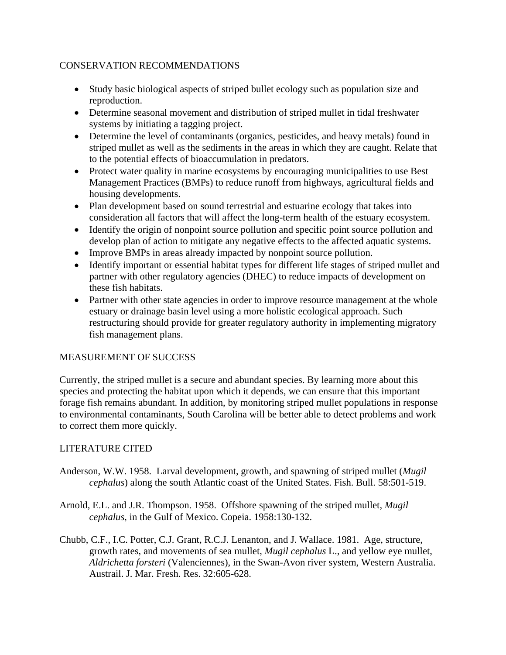#### CONSERVATION RECOMMENDATIONS

- Study basic biological aspects of striped bullet ecology such as population size and reproduction.
- Determine seasonal movement and distribution of striped mullet in tidal freshwater systems by initiating a tagging project.
- Determine the level of contaminants (organics, pesticides, and heavy metals) found in striped mullet as well as the sediments in the areas in which they are caught. Relate that to the potential effects of bioaccumulation in predators.
- Protect water quality in marine ecosystems by encouraging municipalities to use Best Management Practices (BMPs) to reduce runoff from highways, agricultural fields and housing developments.
- Plan development based on sound terrestrial and estuarine ecology that takes into consideration all factors that will affect the long-term health of the estuary ecosystem.
- Identify the origin of nonpoint source pollution and specific point source pollution and develop plan of action to mitigate any negative effects to the affected aquatic systems.
- Improve BMPs in areas already impacted by nonpoint source pollution.
- Identify important or essential habitat types for different life stages of striped mullet and partner with other regulatory agencies (DHEC) to reduce impacts of development on these fish habitats.
- Partner with other state agencies in order to improve resource management at the whole estuary or drainage basin level using a more holistic ecological approach. Such restructuring should provide for greater regulatory authority in implementing migratory fish management plans.

#### MEASUREMENT OF SUCCESS

Currently, the striped mullet is a secure and abundant species. By learning more about this species and protecting the habitat upon which it depends, we can ensure that this important forage fish remains abundant. In addition, by monitoring striped mullet populations in response to environmental contaminants, South Carolina will be better able to detect problems and work to correct them more quickly.

#### LITERATURE CITED

- Anderson, W.W. 1958. Larval development, growth, and spawning of striped mullet (*Mugil cephalus*) along the south Atlantic coast of the United States. Fish. Bull. 58:501-519.
- Arnold, E.L. and J.R. Thompson. 1958. Offshore spawning of the striped mullet, *Mugil cephalus*, in the Gulf of Mexico. Copeia. 1958:130-132.
- Chubb, C.F., I.C. Potter, C.J. Grant, R.C.J. Lenanton, and J. Wallace. 1981. Age, structure, growth rates, and movements of sea mullet, *Mugil cephalus* L., and yellow eye mullet, *Aldrichetta forsteri* (Valenciennes), in the Swan-Avon river system, Western Australia. Austrail. J. Mar. Fresh. Res. 32:605-628.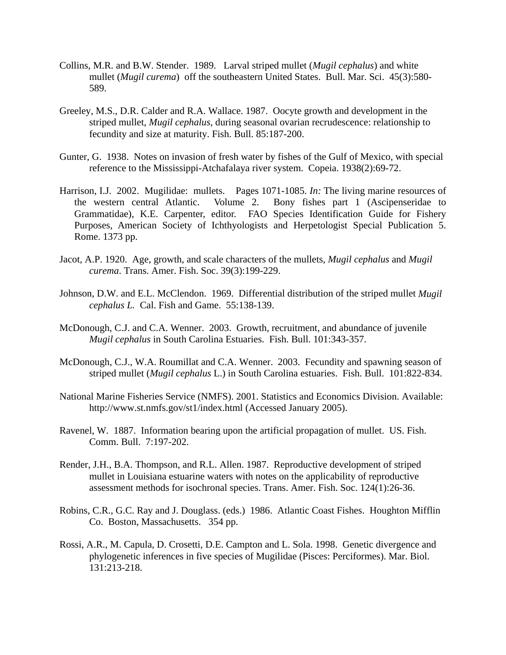- Collins, M.R. and B.W. Stender. 1989. Larval striped mullet (*Mugil cephalus*) and white mullet (*Mugil curema*) off the southeastern United States. Bull. Mar. Sci. 45(3):580- 589.
- Greeley, M.S., D.R. Calder and R.A. Wallace. 1987. Oocyte growth and development in the striped mullet, *Mugil cephalus*, during seasonal ovarian recrudescence: relationship to fecundity and size at maturity. Fish. Bull. 85:187-200.
- Gunter, G. 1938. Notes on invasion of fresh water by fishes of the Gulf of Mexico, with special reference to the Mississippi-Atchafalaya river system. Copeia. 1938(2):69-72.
- Harrison, I.J. 2002. Mugilidae: mullets. Pages 1071-1085. *In:* The living marine resources of the western central Atlantic. Volume 2. Bony fishes part 1 (Ascipenseridae to Grammatidae), K.E. Carpenter, editor. FAO Species Identification Guide for Fishery Purposes, American Society of Ichthyologists and Herpetologist Special Publication 5. Rome. 1373 pp.
- Jacot, A.P. 1920. Age, growth, and scale characters of the mullets, *Mugil cephalus* and *Mugil curema*. Trans. Amer. Fish. Soc. 39(3):199-229.
- Johnson, D.W. and E.L. McClendon. 1969. Differential distribution of the striped mullet *Mugil cephalus L.* Cal. Fish and Game. 55:138-139.
- McDonough, C.J. and C.A. Wenner. 2003. Growth, recruitment, and abundance of juvenile *Mugil cephalus* in South Carolina Estuaries. Fish. Bull. 101:343-357.
- McDonough, C.J., W.A. Roumillat and C.A. Wenner. 2003. Fecundity and spawning season of striped mullet (*Mugil cephalus* L.) in South Carolina estuaries. Fish. Bull. 101:822-834.
- National Marine Fisheries Service (NMFS). 2001. Statistics and Economics Division. Available: http://www.st.nmfs.gov/st1/index.html (Accessed January 2005).
- Ravenel, W. 1887. Information bearing upon the artificial propagation of mullet. US. Fish. Comm. Bull. 7:197-202.
- Render, J.H., B.A. Thompson, and R.L. Allen. 1987. Reproductive development of striped mullet in Louisiana estuarine waters with notes on the applicability of reproductive assessment methods for isochronal species. Trans. Amer. Fish. Soc. 124(1):26-36.
- Robins, C.R., G.C. Ray and J. Douglass. (eds.) 1986. Atlantic Coast Fishes. Houghton Mifflin Co. Boston, Massachusetts. 354 pp.
- Rossi, A.R., M. Capula, D. Crosetti, D.E. Campton and L. Sola. 1998. Genetic divergence and phylogenetic inferences in five species of Mugilidae (Pisces: Perciformes). Mar. Biol. 131:213-218.